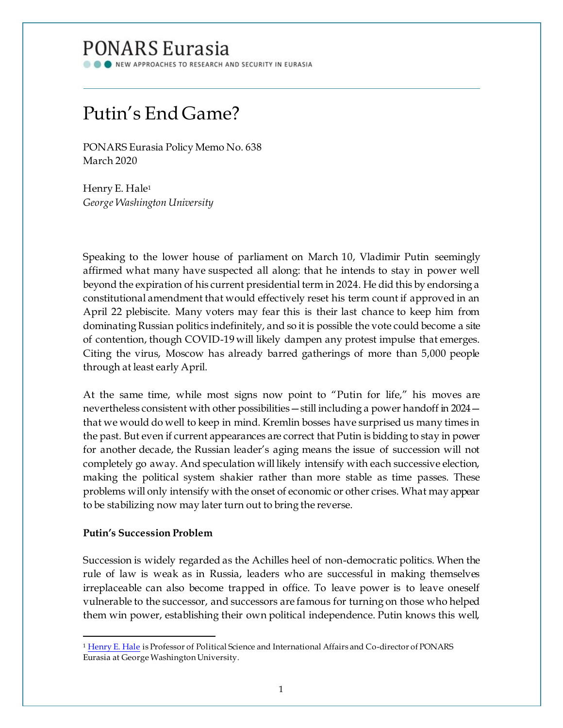## **PONARS Eurasia**

NEW APPROACHES TO RESEARCH AND SECURITY IN EURASIA

# Putin's End Game?

PONARS Eurasia Policy Memo No. 638 March 2020

Henry E. Hale<sup>1</sup> *George Washington University*

Speaking to the lower house of parliament on March 10, Vladimir Putin seemingly affirmed what many have suspected all along: that he intends to stay in power well beyond the expiration of his current presidential term in 2024. He did this by endorsing a constitutional amendment that would effectively reset his term count if approved in an April 22 plebiscite. Many voters may fear this is their last chance to keep him from dominating Russian politics indefinitely, and so it is possible the vote could become a site of contention, though COVID-19 will likely dampen any protest impulse that emerges. Citing the virus, Moscow has already barred gatherings of more than 5,000 people through at least early April.

At the same time, while most signs now point to "Putin for life," his moves are nevertheless consistent with other possibilities—still including a power handoff in 2024 that we would do well to keep in mind. Kremlin bosses have surprised us many times in the past. But even if current appearances are correct that Putin is bidding to stay in power for another decade, the Russian leader's aging means the issue of succession will not completely go away. And speculation will likely intensify with each successive election, making the political system shakier rather than more stable as time passes. These problems will only intensify with the onset of economic or other crises. What may appear to be stabilizing now may later turn out to bring the reverse.

### **Putin's Succession Problem**

Succession is widely regarded as the Achilles heel of non-democratic politics. When the rule of law is weak as in Russia, leaders who are successful in making themselves irreplaceable can also become trapped in office. To leave power is to leave oneself vulnerable to the successor, and successors are famous for turning on those who helped them win power, establishing their own political independence. Putin knows this well,

<sup>1</sup> [Henry E. Hale](http://www.ponarseurasia.org/members/henry-e-hale) is Professor of Political Science and International Affairs and Co-director of PONARS Eurasia at George Washington University.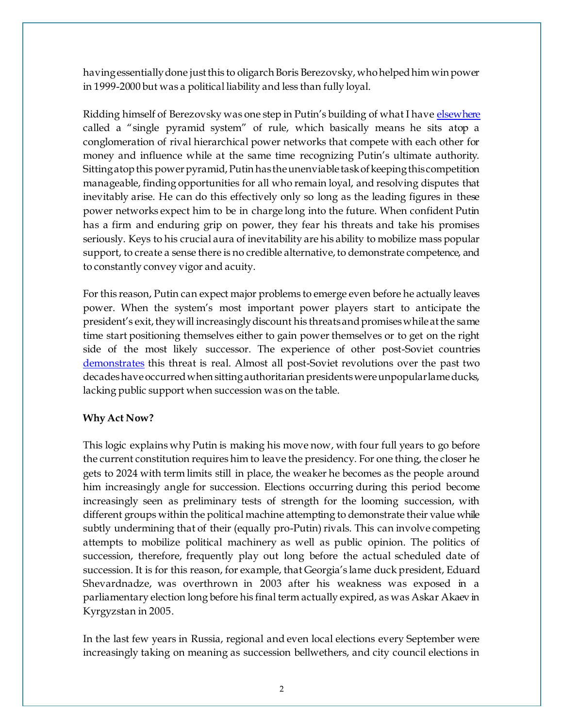having essentially done just this to oligarch Boris Berezovsky, who helped him win power in 1999-2000 but was a political liability and less than fully loyal.

Ridding himself of Berezovsky was one step in Putin's building of what I have [elsewhere](https://www.cambridge.org/core/books/patronal-politics/4C1B4D49A7F17739E75A5AB7B66E2115) called a "single pyramid system" of rule, which basically means he sits atop a conglomeration of rival hierarchical power networks that compete with each other for money and influence while at the same time recognizing Putin's ultimate authority. Sitting atop this power pyramid, Putin has the unenviable task of keeping this competition manageable, finding opportunities for all who remain loyal, and resolving disputes that inevitably arise. He can do this effectively only so long as the leading figures in these power networks expect him to be in charge long into the future. When confident Putin has a firm and enduring grip on power, they fear his threats and take his promises seriously. Keys to his crucial aura of inevitability are his ability to mobilize mass popular support, to create a sense there is no credible alternative, to demonstrate competence, and to constantly convey vigor and acuity.

For this reason, Putin can expect major problems to emerge even before he actually leaves power. When the system's most important power players start to anticipate the president's exit, they will increasingly discount his threats and promises while at the same time start positioning themselves either to gain power themselves or to get on the right side of the most likely successor. The experience of other post-Soviet countries [demonstrates](https://www.cambridge.org/core/journals/world-politics/article/regime-cycles-democracy-autocracy-and-revolution-in-postsoviet-eurasia/25923B742010160EC4331966AFE64260) this threat is real. Almost all post-Soviet revolutions over the past two decades have occurred when sitting authoritarian presidents were unpopular lame ducks, lacking public support when succession was on the table.

### **Why Act Now?**

This logic explains why Putin is making his move now, with four full years to go before the current constitution requires him to leave the presidency. For one thing, the closer he gets to 2024 with term limits still in place, the weaker he becomes as the people around him increasingly angle for succession. Elections occurring during this period become increasingly seen as preliminary tests of strength for the looming succession, with different groups within the political machine attempting to demonstrate their value while subtly undermining that of their (equally pro-Putin) rivals. This can involve competing attempts to mobilize political machinery as well as public opinion. The politics of succession, therefore, frequently play out long before the actual scheduled date of succession. It is for this reason, for example, that Georgia's lame duck president, Eduard Shevardnadze, was overthrown in 2003 after his weakness was exposed in a parliamentary election long before his final term actually expired, as was Askar Akaev in Kyrgyzstan in 2005.

In the last few years in Russia, regional and even local elections every September were increasingly taking on meaning as succession bellwethers, and city council elections in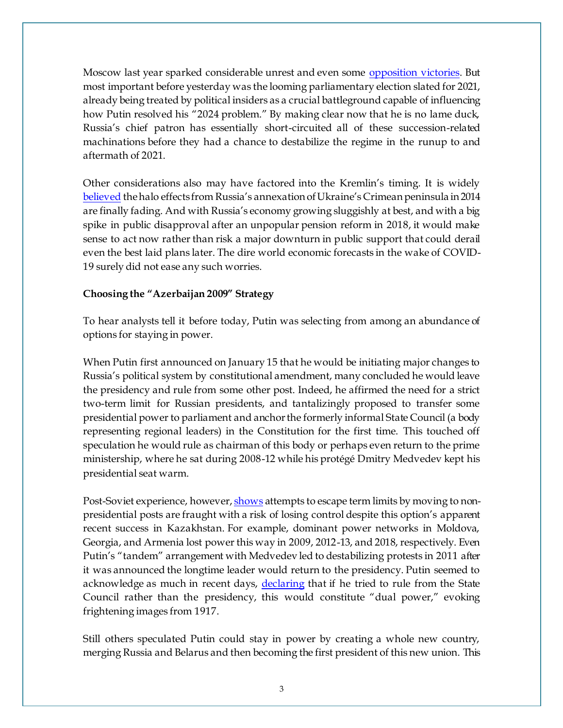Moscow last year sparked considerable unrest and even some [opposition victories.](https://meduza.io/en/feature/2019/09/09/moscow-s-election-results) But most important before yesterday was the looming parliamentary election slated for 2021, already being treated by political insiders as a crucial battleground capable of influencing how Putin resolved his "2024 problem." By making clear now that he is no lame duck, Russia's chief patron has essentially short-circuited all of these succession-related machinations before they had a chance to destabilize the regime in the runup to and aftermath of 2021.

Other considerations also may have factored into the Kremlin's timing. It is widely [believed](https://www.levada.ru/2019/08/06/49-moskvichej-44-molodyh-v-vozraste-ot-25-do-39-let-i-41-vysokoobrazovannyh-ne-hotyat-videt-putina-v-kachestve-prezidenta-strany-posle-2024-goda/) the halo effects from Russia's annexation of Ukraine's Crimean peninsula in 2014 are finally fading. And with Russia's economy growing sluggishly at best, and with a big spike in public disapproval after an unpopular pension reform in 2018, it would make sense to act now rather than risk a major downturn in public support that could derail even the best laid plans later. The dire world economic forecasts in the wake of COVID-19 surely did not ease any such worries.

#### **Choosing the "Azerbaijan 2009" Strategy**

To hear analysts tell it before today, Putin was selecting from among an abundance of options for staying in power.

When Putin first announced on January 15 that he would be initiating major changes to Russia's political system by constitutional amendment, many concluded he would leave the presidency and rule from some other post. Indeed, he affirmed the need for a strict two-term limit for Russian presidents, and tantalizingly proposed to transfer some presidential power to parliament and anchor the formerly informal State Council (a body representing regional leaders) in the Constitution for the first time. This touched off speculation he would rule as chairman of this body or perhaps even return to the prime ministership, where he sat during 2008-12 while his protégé Dmitry Medvedev kept his presidential seat warm.

Post-Soviet experience, howeve[r, shows](http://liberal.ru/lm-ekspertiza/car-gory-edemokraticheskij-transfer-vlasti-na-postsovetskom-prostranstve) attempts to escape term limits by moving to nonpresidential posts are fraught with a risk of losing control despite this option's apparent recent success in Kazakhstan. For example, dominant power networks in Moldova, Georgia, and Armenia lost power this way in 2009, 2012-13, and 2018, respectively. Even Putin's "tandem" arrangement with Medvedev led to destabilizing protests in 2011 after it was announced the longtime leader would return to the presidency. Putin seemed to acknowledge as much in recent days, [declaring](https://ria.ru/20200306/1568258777.html) that if he tried to rule from the State Council rather than the presidency, this would constitute "dual power," evoking frightening images from 1917.

Still others speculated Putin could stay in power by creating a whole new country, merging Russia and Belarus and then becoming the first president of this new union. This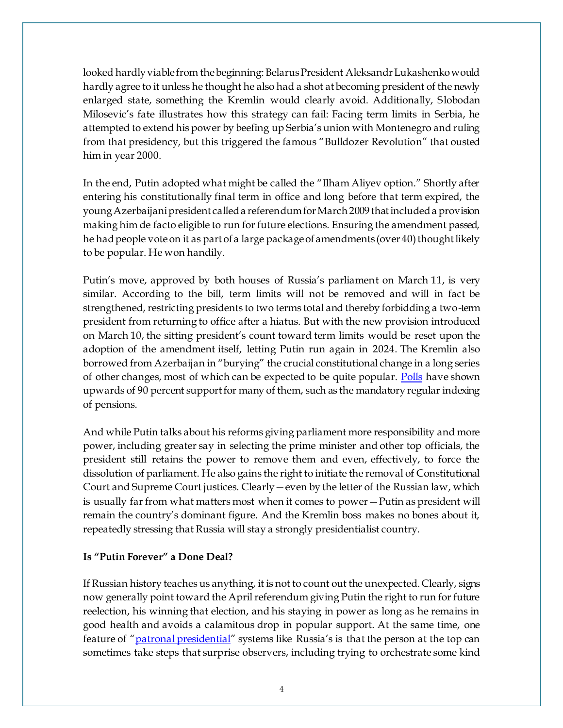looked hardly viable from the beginning: Belarus President Aleksandr Lukashenko would hardly agree to it unless he thought he also had a shot at becoming president of the newly enlarged state, something the Kremlin would clearly avoid. Additionally, Slobodan Milosevic's fate illustrates how this strategy can fail: Facing term limits in Serbia, he attempted to extend his power by beefing up Serbia's union with Montenegro and ruling from that presidency, but this triggered the famous "Bulldozer Revolution" that ousted him in year 2000.

In the end, Putin adopted what might be called the "Ilham Aliyev option." Shortly after entering his constitutionally final term in office and long before that term expired, the young Azerbaijani president called a referendum for March 2009 that included a provision making him de facto eligible to run for future elections. Ensuring the amendment passed, he had people vote on it as part of a large package of amendments (over 40) thought likely to be popular. He won handily.

Putin's move, approved by both houses of Russia's parliament on March 11, is very similar. According to the bill, term limits will not be removed and will in fact be strengthened, restricting presidents to two terms total and thereby forbidding a two-term president from returning to office after a hiatus. But with the new provision introduced on March 10, the sitting president's count toward term limits would be reset upon the adoption of the amendment itself, letting Putin run again in 2024. The Kremlin also borrowed from Azerbaijan in "burying" the crucial constitutional change in a long series of other changes, most of which can be expected to be quite popular. [Polls](https://wciom.ru/index.php?id=236&uid=10171) have shown upwards of 90 percent support for many of them, such as the mandatory regular indexing of pensions.

And while Putin talks about his reforms giving parliament more responsibility and more power, including greater say in selecting the prime minister and other top officials, the president still retains the power to remove them and even, effectively, to force the dissolution of parliament. He also gains the right to initiate the removal of Constitutional Court and Supreme Court justices. Clearly—even by the letter of the Russian law, which is usually far from what matters most when it comes to power—Putin as president will remain the country's dominant figure. And the Kremlin boss makes no bones about it, repeatedly stressing that Russia will stay a strongly presidentialist country.

### **Is "Putin Forever" a Done Deal?**

If Russian history teaches us anything, it is not to count out the unexpected. Clearly, signs now generally point toward the April referendum giving Putin the right to run for future reelection, his winning that election, and his staying in power as long as he remains in good health and avoids a calamitous drop in popular support. At the same time, one feature of "[patronal presidential](https://www.cambridge.org/core/books/patronal-politics/4C1B4D49A7F17739E75A5AB7B66E2115)" systems like Russia's is that the person at the top can sometimes take steps that surprise observers, including trying to orchestrate some kind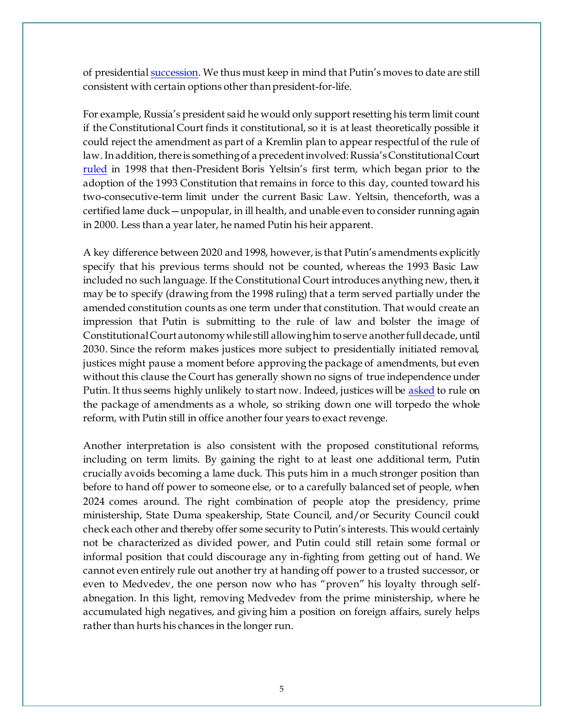of presidentia[l succession](http://liberal.ru/files/articles/7378/Tsar_gory.%20Ekspertiza.Vip.6.pdf). We thus must keep in mind that Putin's moves to date are still consistent with certain options other than president-for-life.

For example, Russia's president said he would only support resetting his term limit count if the Constitutional Court finds it constitutional, so it is at least theoretically possible it could reject the amendment as part of a Kremlin plan to appear respectful of the rule of law. In addition, there is something of a precedent involved: Russia's Constitutional Court [ruled](https://www.rferl.org/a/1089894.html) in 1998 that then-President Boris Yeltsin's first term, which began prior to the adoption of the 1993 Constitution that remains in force to this day, counted toward his two-consecutive-term limit under the current Basic Law. Yeltsin, thenceforth, was a certified lame duck—unpopular, in ill health, and unable even to consider running again in 2000. Less than a year later, he named Putin his heir apparent.

A key difference between 2020 and 1998, however, is that Putin's amendments explicitly specify that his previous terms should not be counted, whereas the 1993 Basic Law included no such language. If the Constitutional Court introduces anything new, then, it may be to specify (drawing from the 1998 ruling) that a term served partially under the amended constitution counts as one term under that constitution. That would create an impression that Putin is submitting to the rule of law and bolster the image of Constitutional Court autonomy while still allowing him to serve another full decade, until 2030. Since the reform makes justices more subject to presidentially initiated removal, justices might pause a moment before approving the package of amendments, but even without this clause the Court has generally shown no signs of true independence under Putin. It thus seems highly unlikely to start now. Indeed, justices will be [asked](https://meduza.io/en/cards/the-constitutionality-of-six-terms) to rule on the package of amendments as a whole, so striking down one will torpedo the whole reform, with Putin still in office another four years to exact revenge.

Another interpretation is also consistent with the proposed constitutional reforms, including on term limits. By gaining the right to at least one additional term, Putin crucially avoids becoming a lame duck. This puts him in a much stronger position than before to hand off power to someone else, or to a carefully balanced set of people, when 2024 comes around. The right combination of people atop the presidency, prime ministership, State Duma speakership, State Council, and/or Security Council could check each other and thereby offer some security to Putin's interests. This would certainly not be characterized as divided power, and Putin could still retain some formal or informal position that could discourage any in-fighting from getting out of hand. We cannot even entirely rule out another try at handing off power to a trusted successor, or even to Medvedev, the one person now who has "proven" his loyalty through selfabnegation. In this light, removing Medvedev from the prime ministership, where he accumulated high negatives, and giving him a position on foreign affairs, surely helps rather than hurts his chances in the longer run.